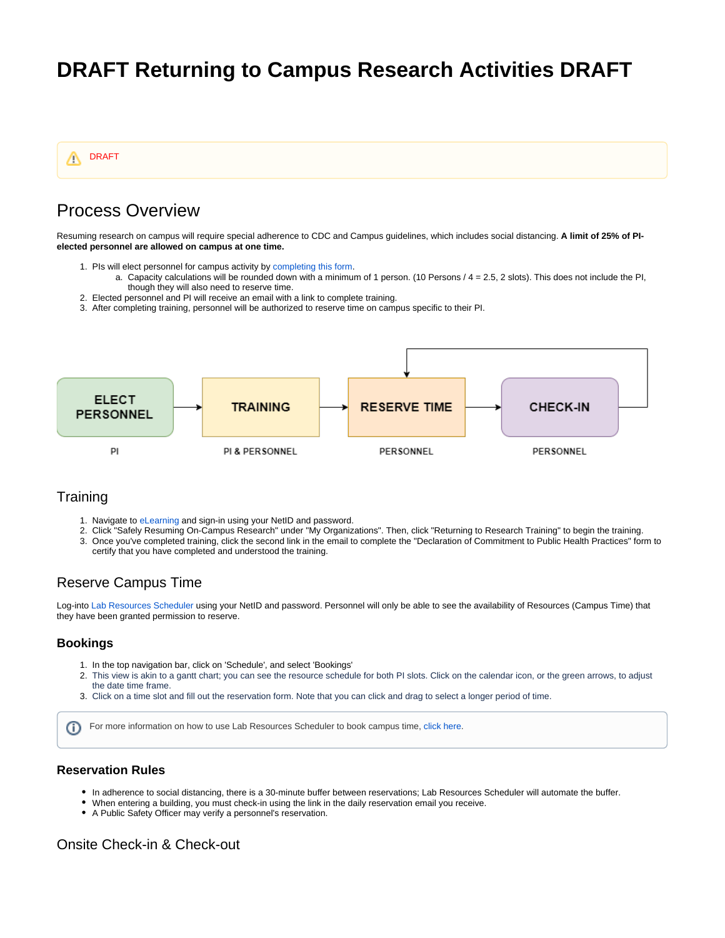# **DRAFT Returning to Campus Research Activities DRAFT**



# Process Overview

Resuming research on campus will require special adherence to CDC and Campus guidelines, which includes social distancing. **A limit of 25% of PIelected personnel are allowed on campus at one time.**

- 1. PIs will elect personnel for campus activity by [completing this form.](https://redcap.utdallas.edu/surveys/?s=FHWNJC7HLE)
	- a. Capacity calculations will be rounded down with a minimum of 1 person. (10 Persons / 4 = 2.5, 2 slots). This does not include the PI, though they will also need to reserve time.
- 2. Elected personnel and PI will receive an email with a link to complete training.
- 3. After completing training, personnel will be authorized to reserve time on campus specific to their PI.



## **Training**

- 1. Navigate to [eLearning](https://elearning.utdallas.edu/) and sign-in using your NetID and password.
- 2. Click "Safely Resuming On-Campus Research" under "My Organizations". Then, click "Returning to Research Training" to begin the training.
- 3. Once you've completed training, click the second link in the email to complete the "Declaration of Commitment to Public Health Practices" form to certify that you have completed and understood the training.

### Reserve Campus Time

Log-into [Lab Resources Scheduler](https://labresources.utdallas.edu) using your NetID and password. Personnel will only be able to see the availability of Resources (Campus Time) that they have been granted permission to reserve.

### **Bookings**

- 1. In the top navigation bar, click on 'Schedule', and select 'Bookings'
- 2. This view is akin to a gantt chart; you can see the resource schedule for both PI slots. Click on the calendar icon, or the green arrows, to adjust the date time frame.
- 3. Click on a time slot and fill out the reservation form. Note that you can click and drag to select a longer period of time.

For more information on how to use Lab Resources Scheduler to book campus time, [click here.](https://wiki.utdallas.edu/display/HOME/How+to+Reserve+Campus+Time) ⋒

### **Reservation Rules**

- In adherence to social distancing, there is a 30-minute buffer between reservations; Lab Resources Scheduler will automate the buffer.
- When entering a building, you must check-in using the link in the daily reservation email you receive.
- A Public Safety Officer may verify a personnel's reservation.

## Onsite Check-in & Check-out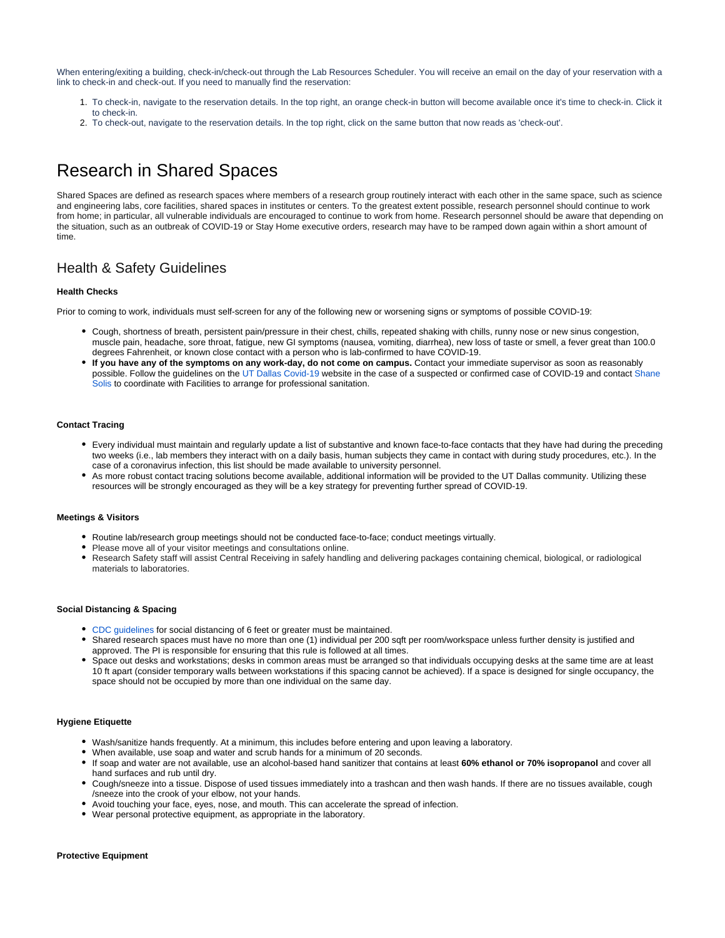When entering/exiting a building, check-in/check-out through the Lab Resources Scheduler. You will receive an email on the day of your reservation with a link to check-in and check-out. If you need to manually find the reservation:

- 1. To check-in, navigate to the reservation details. In the top right, an orange check-in button will become available once it's time to check-in. Click it to check-in.
- 2. To check-out, navigate to the reservation details. In the top right, click on the same button that now reads as 'check-out'.

# Research in Shared Spaces

Shared Spaces are defined as research spaces where members of a research group routinely interact with each other in the same space, such as science and engineering labs, core facilities, shared spaces in institutes or centers. To the greatest extent possible, research personnel should continue to work from home; in particular, all vulnerable individuals are encouraged to continue to work from home. Research personnel should be aware that depending on the situation, such as an outbreak of COVID-19 or Stay Home executive orders, research may have to be ramped down again within a short amount of time.

## Health & Safety Guidelines

### **Health Checks**

Prior to coming to work, individuals must self-screen for any of the following new or worsening signs or symptoms of possible COVID-19:

- Cough, shortness of breath, persistent pain/pressure in their chest, chills, repeated shaking with chills, runny nose or new sinus congestion, muscle pain, headache, sore throat, fatigue, new GI symptoms (nausea, vomiting, diarrhea), new loss of taste or smell, a fever great than 100.0 degrees Fahrenheit, or known close contact with a person who is lab-confirmed to have COVID-19.
- **If you have any of the symptoms on any work-day, do not come on campus.** Contact your immediate supervisor as soon as reasonably possible. Follow the guidelines on the [UT Dallas Covid-19](https://utdallas.edu/coronavirus/faq/#faculty) website in the case of a suspected or confirmed case of COVID-19 and contact [Shane](mailto:shane.solis@utdallas.edu)  [Solis](mailto:shane.solis@utdallas.edu) to coordinate with Facilities to arrange for professional sanitation.

#### **Contact Tracing**

- Every individual must maintain and regularly update a list of substantive and known face-to-face contacts that they have had during the preceding two weeks (i.e., lab members they interact with on a daily basis, human subjects they came in contact with during study procedures, etc.). In the case of a coronavirus infection, this list should be made available to university personnel.
- As more robust contact tracing solutions become available, additional information will be provided to the UT Dallas community. Utilizing these resources will be strongly encouraged as they will be a key strategy for preventing further spread of COVID-19.

#### **Meetings & Visitors**

- Routine lab/research group meetings should not be conducted face-to-face; conduct meetings virtually.
- Please move all of your visitor meetings and consultations online.
- Research Safety staff will assist Central Receiving in safely handling and delivering packages containing chemical, biological, or radiological materials to laboratories.

#### **Social Distancing & Spacing**

- **CDC** guidelines for social distancing of 6 feet or greater must be maintained.
- Shared research spaces must have no more than one (1) individual per 200 sqft per room/workspace unless further density is justified and approved. The PI is responsible for ensuring that this rule is followed at all times.
- Space out desks and workstations; desks in common areas must be arranged so that individuals occupying desks at the same time are at least 10 ft apart (consider temporary walls between workstations if this spacing cannot be achieved). If a space is designed for single occupancy, the space should not be occupied by more than one individual on the same day.

#### **Hygiene Etiquette**

- Wash/sanitize hands frequently. At a minimum, this includes before entering and upon leaving a laboratory.
- When available, use soap and water and scrub hands for a minimum of 20 seconds.
- If soap and water are not available, use an alcohol-based hand sanitizer that contains at least **60% ethanol or 70% isopropanol** and cover all hand surfaces and rub until dry.
- Cough/sneeze into a tissue. Dispose of used tissues immediately into a trashcan and then wash hands. If there are no tissues available, cough /sneeze into the crook of your elbow, not your hands.
- Avoid touching your face, eyes, nose, and mouth. This can accelerate the spread of infection.
- Wear personal protective equipment, as appropriate in the laboratory.

#### **Protective Equipment**